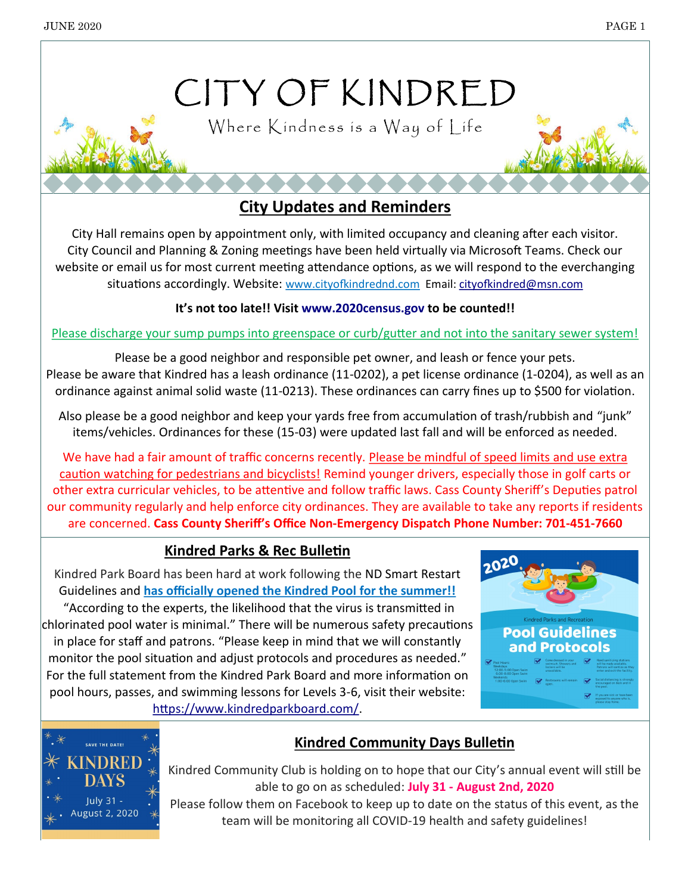# CITY OF KINDRED

Where Kindness is a Way of Life

**City Updates and Reminders**

City Hall remains open by appointment only, with limited occupancy and cleaning after each visitor. City Council and Planning & Zoning meetings have been held virtually via Microsoft Teams. Check our website or email us for most current meeting attendance options, as we will respond to the everchanging situations accordingly. Website: www.cityofkindrednd.com Email: [cityofkindred@msn.com](mailto:cityofkindred@msn.com)

#### **It's not too late!! Visit [www.2020census.gov](http://www.2020census.gov) to be counted!!**

#### Please discharge your sump pumps into greenspace or curb/gutter and not into the sanitary sewer system!

Please be a good neighbor and responsible pet owner, and leash or fence your pets. Please be aware that Kindred has a leash ordinance (11-0202), a pet license ordinance (1-0204), as well as an ordinance against animal solid waste (11-0213). These ordinances can carry fines up to \$500 for violation.

Also please be a good neighbor and keep your yards free from accumulation of trash/rubbish and "junk" items/vehicles. Ordinances for these (15-03) were updated last fall and will be enforced as needed.

We have had a fair amount of traffic concerns recently. Please be mindful of speed limits and use extra caution watching for pedestrians and bicyclists! Remind younger drivers, especially those in golf carts or other extra curricular vehicles, to be attentive and follow traffic laws. Cass County Sheriff's Deputies patrol our community regularly and help enforce city ordinances. They are available to take any reports if residents are concerned. **Cass County Sheriff's Office Non-Emergency Dispatch Phone Number: 701-451-7660**

#### **Kindred Parks & Rec Bulletin**

Kindred Park Board has been hard at work following the ND Smart Restart Guidelines and **has officially opened the Kindred Pool for the summer!!**

"According to the experts, the likelihood that the virus is transmitted in chlorinated pool water is minimal." There will be numerous safety precautions in place for staff and patrons. "Please keep in mind that we will constantly monitor the pool situation and adjust protocols and procedures as needed." For the full statement from the Kindred Park Board and more information on pool hours, passes, and swimming lessons for Levels 3-6, visit their website: [https://www.kindredparkboard.com/.](https://www.kindredparkboard.com/)





### **Kindred Community Days Bulletin**

Kindred Community Club is holding on to hope that our City's annual event will still be able to go on as scheduled: **July 31 - August 2nd, 2020**

Please follow them on Facebook to keep up to date on the status of this event, as the team will be monitoring all COVID-19 health and safety guidelines!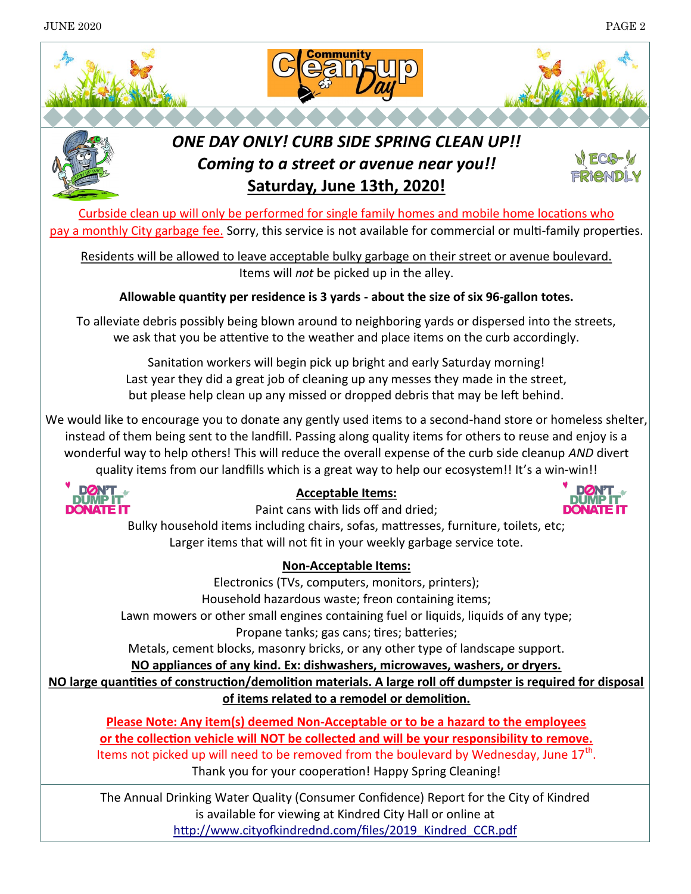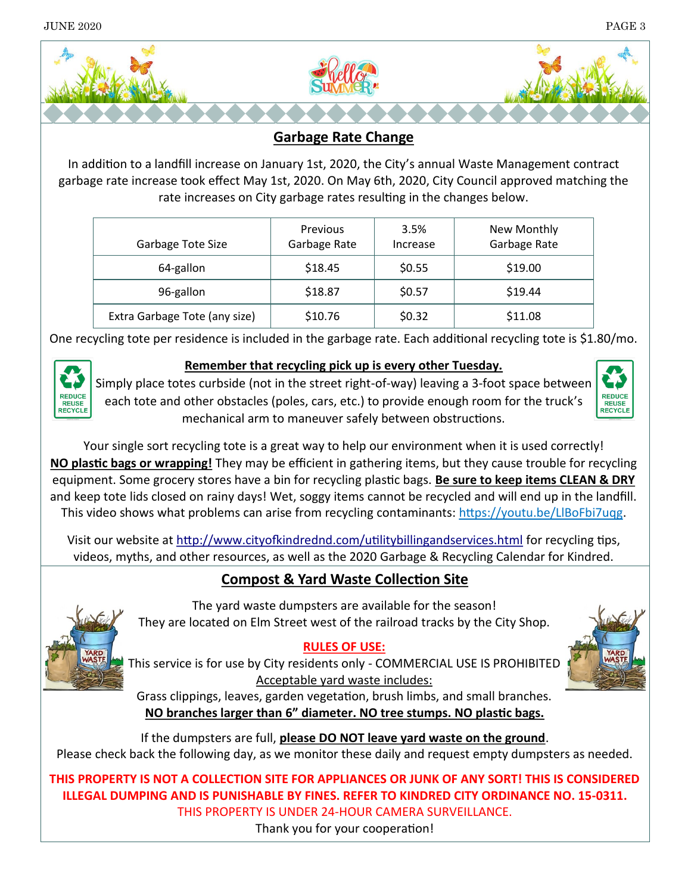

#### **Garbage Rate Change**

In addition to a landfill increase on January 1st, 2020, the City's annual Waste Management contract garbage rate increase took effect May 1st, 2020. On May 6th, 2020, City Council approved matching the rate increases on City garbage rates resulting in the changes below.

| Garbage Tote Size             | <b>Previous</b><br>Garbage Rate | 3.5%<br>Increase | New Monthly<br>Garbage Rate |
|-------------------------------|---------------------------------|------------------|-----------------------------|
| 64-gallon                     | \$18.45                         | \$0.55           | \$19.00                     |
| 96-gallon                     | \$18.87                         | \$0.57           | \$19.44                     |
| Extra Garbage Tote (any size) | \$10.76                         | \$0.32           | \$11.08                     |

One recycling tote per residence is included in the garbage rate. Each additional recycling tote is \$1.80/mo.



#### **Remember that recycling pick up is every other Tuesday.**

Simply place totes curbside (not in the street right-of-way) leaving a 3-foot space between each tote and other obstacles (poles, cars, etc.) to provide enough room for the truck's mechanical arm to maneuver safely between obstructions.



Your single sort recycling tote is a great way to help our environment when it is used correctly! **NO plastic bags or wrapping!** They may be efficient in gathering items, but they cause trouble for recycling equipment. Some grocery stores have a bin for recycling plastic bags. **Be sure to keep items CLEAN & DRY** and keep tote lids closed on rainy days! Wet, soggy items cannot be recycled and will end up in the landfill. This video shows what problems can arise from recycling contaminants: https://youtu.be/LlBoFbi7uqg.

Visit our website at<http://www.cityofkindrednd.com/utilitybillingandservices.html> for recycling tips, videos, myths, and other resources, as well as the 2020 Garbage & Recycling Calendar for Kindred.

### **Compost & Yard Waste Collection Site**



The yard waste dumpsters are available for the season! They are located on Elm Street west of the railroad tracks by the City Shop.

#### **RULES OF USE:**

This service is for use by City residents only - COMMERCIAL USE IS PROHIBITED Acceptable yard waste includes:

Grass clippings, leaves, garden vegetation, brush limbs, and small branches. **NO branches larger than 6" diameter. NO tree stumps. NO plastic bags.**

If the dumpsters are full, **please DO NOT leave yard waste on the ground**. Please check back the following day, as we monitor these daily and request empty dumpsters as needed.

**THIS PROPERTY IS NOT A COLLECTION SITE FOR APPLIANCES OR JUNK OF ANY SORT! THIS IS CONSIDERED ILLEGAL DUMPING AND IS PUNISHABLE BY FINES. REFER TO KINDRED CITY ORDINANCE NO. 15-0311.** THIS PROPERTY IS UNDER 24-HOUR CAMERA SURVEILLANCE.

Thank you for your cooperation!